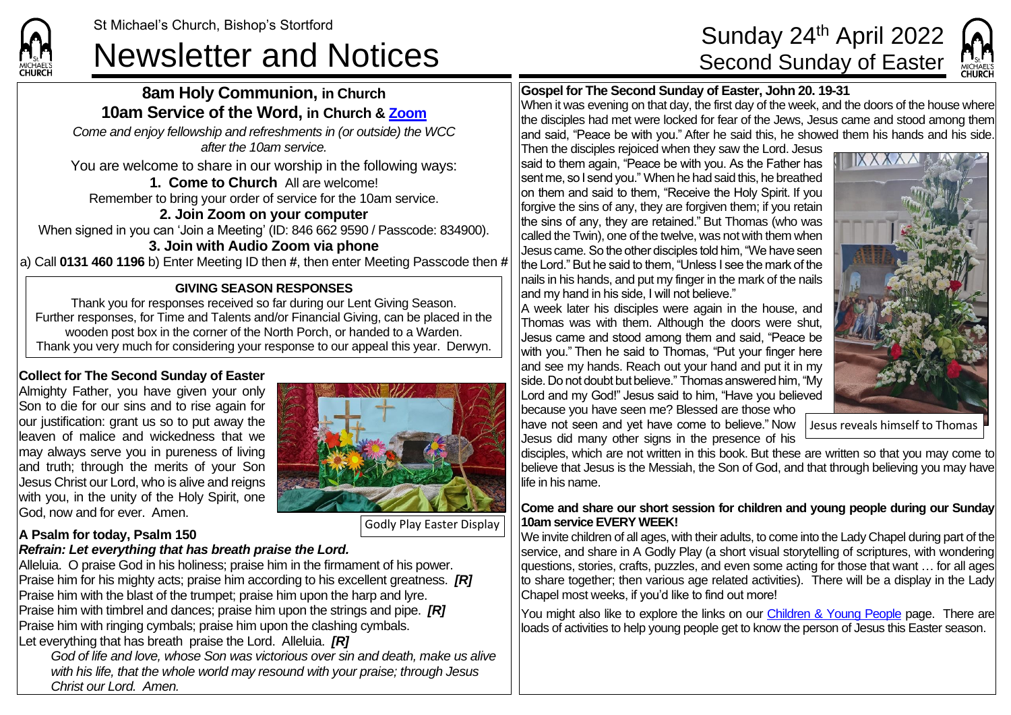### **8am Holy Communion, in Church 10am Service of the Word, in Church & [Zoom](https://zoom.us/)**

*Come and enjoy fellowship and refreshments in (or outside) the WCC after the 10am service.*

You are welcome to share in our worship in the following ways:

**1. Come to Church** All are welcome! Remember to bring your order of service for the 10am service.

#### **2. Join Zoom on your computer**

When signed in you can 'Join a Meeting' (ID: 846 662 9590 / Passcode: 834900). **3. Join with Audio Zoom via phone**

a) Call **0131 460 1196** b) Enter Meeting ID then **#**, then enter Meeting Passcode then **#**

#### **GIVING SEASON RESPONSES**

Thank you for responses received so far during our Lent Giving Season. Further responses, for Time and Talents and/or Financial Giving, can be placed in the wooden post box in the corner of the North Porch, or handed to a Warden. Thank you very much for considering your response to our appeal this year. Derwyn.

#### **Collect for The Second Sunday of Easter**

CHI IDCL

Almighty Father, you have given your only Son to die for our sins and to rise again for our justification: grant us so to put away the leaven of malice and wickedness that we may always serve you in pureness of living and truth; through the merits of your Son Jesus Christ our Lord, who is alive and reigns with you, in the unity of the Holy Spirit, one God, now and for ever. Amen.



Godly Play Easter Display

#### **A Psalm for today, Psalm 150**

### *Refrain: Let everything that has breath praise the Lord.*

Alleluia. O praise God in his holiness; praise him in the firmament of his power. Praise him for his mighty acts; praise him according to his excellent greatness. *[R]* Praise him with the blast of the trumpet; praise him upon the harp and lyre. Praise him with timbrel and dances; praise him upon the strings and pipe. *[R]* Praise him with ringing cymbals; praise him upon the clashing cymbals. Let everything that has breath praise the Lord. Alleluia. *[R]*

*God of life and love, whose Son was victorious over sin and death, make us alive with his life, that the whole world may resound with your praise; through Jesus Christ our Lord. Amen.*

# St Michael's Church, Bishop's Stortford Sunday 24<sup>th</sup> April 2022<br> **Newsletter and Notices** Second Sunday of Easter



## **Gospel for The Second Sunday of Easter, John 20. 19-31**

When it was evening on that day, the first day of the week, and the doors of the house where the disciples had met were locked for fear of the Jews, Jesus came and stood among them and said, "Peace be with you." After he said this, he showed them his hands and his side.

Then the disciples rejoiced when they saw the Lord. Jesus said to them again, "Peace be with you. As the Father has sent me, so I send you." When he had said this, he breathed on them and said to them, "Receive the Holy Spirit. If you forgive the sins of any, they are forgiven them; if you retain the sins of any, they are retained." But Thomas (who was called the Twin), one of the twelve, was not with them when Jesus came. So the other disciples told him, "We have seen the Lord." But he said to them, "Unless I see the mark of the nails in his hands, and put my finger in the mark of the nails and my hand in his side, I will not believe."

A week later his disciples were again in the house, and Thomas was with them. Although the doors were shut, Jesus came and stood among them and said, "Peace be with you." Then he said to Thomas, "Put your finger here and see my hands. Reach out your hand and put it in my side. Do not doubt but believe." Thomas answered him, "My Lord and my God!" Jesus said to him, "Have you believed because you have seen me? Blessed are those who have not seen and yet have come to believe." Now Jesus did many other signs in the presence of his



Jesus reveals himself to Thomas

disciples, which are not written in this book. But these are written so that you may come to believe that Jesus is the Messiah, the Son of God, and that through believing you may have life in his name.

#### **Come and share our short session for children and young people during our Sunday 10am service EVERY WEEK!**

We invite children of all ages, with their adults, to come into the Lady Chapel during part of the service, and share in A Godly Play (a short visual storytelling of scriptures, with wondering questions, stories, crafts, puzzles, and even some acting for those that want … for all ages to share together; then various age related activities). There will be a display in the Lady Chapel most weeks, if you'd like to find out more!

You might also like to explore the links on our [Children & Young People](https://saintmichaelweb.org.uk/Groups/310496/Children_and_Young.aspx) page. There are loads of activities to help young people get to know the person of Jesus this Easter season.